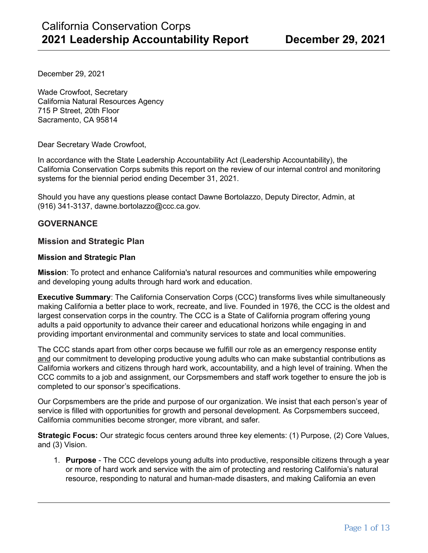December 29, 2021

Wade Crowfoot, Secretary California Natural Resources Agency 715 P Street, 20th Floor Sacramento, CA 95814

Dear Secretary Wade Crowfoot,

In accordance with the State Leadership Accountability Act (Leadership Accountability), the California Conservation Corps submits this report on the review of our internal control and monitoring systems for the biennial period ending December 31, 2021.

Should you have any questions please contact Dawne Bortolazzo, Deputy Director, Admin, at (916) 341-3137, dawne.bortolazzo@ccc.ca.gov.

## **GOVERNANCE**

### **Mission and Strategic Plan**

#### **Mission and Strategic Plan**

**Mission**: To protect and enhance California's natural resources and communities while empowering and developing young adults through hard work and education.

**Executive Summary**: The California Conservation Corps (CCC) transforms lives while simultaneously making California a better place to work, recreate, and live. Founded in 1976, the CCC is the oldest and largest conservation corps in the country. The CCC is a State of California program offering young adults a paid opportunity to advance their career and educational horizons while engaging in and providing important environmental and community services to state and local communities.

The CCC stands apart from other corps because we fulfill our role as an emergency response entity and our commitment to developing productive young adults who can make substantial contributions as California workers and citizens through hard work, accountability, and a high level of training. When the CCC commits to a job and assignment, our Corpsmembers and staff work together to ensure the job is completed to our sponsor's specifications.

Our Corpsmembers are the pride and purpose of our organization. We insist that each person's year of service is filled with opportunities for growth and personal development. As Corpsmembers succeed, California communities become stronger, more vibrant, and safer.

**Strategic Focus:** Our strategic focus centers around three key elements: (1) Purpose, (2) Core Values, and (3) Vision.

1. **Purpose** - The CCC develops young adults into productive, responsible citizens through a year or more of hard work and service with the aim of protecting and restoring California's natural resource, responding to natural and human-made disasters, and making California an even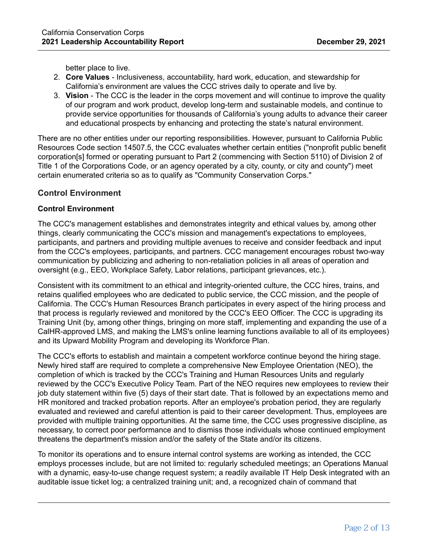better place to live.

- 2. **Core Values** Inclusiveness, accountability, hard work, education, and stewardship for California's environment are values the CCC strives daily to operate and live by.
- 3. **Vision** The CCC is the leader in the corps movement and will continue to improve the quality of our program and work product, develop long-term and sustainable models, and continue to provide service opportunities for thousands of California's young adults to advance their career and educational prospects by enhancing and protecting the state's natural environment.

There are no other entities under our reporting responsibilities. However, pursuant to California Public Resources Code section 14507.5, the CCC evaluates whether certain entities ("nonprofit public benefit corporation[s] formed or operating pursuant to Part 2 (commencing with Section 5110) of Division 2 of Title 1 of the Corporations Code, or an agency operated by a city, county, or city and county") meet certain enumerated criteria so as to qualify as "Community Conservation Corps."

## **Control Environment**

## **Control Environment**

The CCC's management establishes and demonstrates integrity and ethical values by, among other things, clearly communicating the CCC's mission and management's expectations to employees, participants, and partners and providing multiple avenues to receive and consider feedback and input from the CCC's employees, participants, and partners. CCC management encourages robust two-way communication by publicizing and adhering to non-retaliation policies in all areas of operation and oversight (e.g., EEO, Workplace Safety, Labor relations, participant grievances, etc.).

Consistent with its commitment to an ethical and integrity-oriented culture, the CCC hires, trains, and retains qualified employees who are dedicated to public service, the CCC mission, and the people of California. The CCC's Human Resources Branch participates in every aspect of the hiring process and that process is regularly reviewed and monitored by the CCC's EEO Officer. The CCC is upgrading its Training Unit (by, among other things, bringing on more staff, implementing and expanding the use of a CalHR-approved LMS, and making the LMS's online learning functions available to all of its employees) and its Upward Mobility Program and developing its Workforce Plan.

The CCC's efforts to establish and maintain a competent workforce continue beyond the hiring stage. Newly hired staff are required to complete a comprehensive New Employee Orientation (NEO), the completion of which is tracked by the CCC's Training and Human Resources Units and regularly reviewed by the CCC's Executive Policy Team. Part of the NEO requires new employees to review their job duty statement within five (5) days of their start date. That is followed by an expectations memo and HR monitored and tracked probation reports. After an employee's probation period, they are regularly evaluated and reviewed and careful attention is paid to their career development. Thus, employees are provided with multiple training opportunities. At the same time, the CCC uses progressive discipline, as necessary, to correct poor performance and to dismiss those individuals whose continued employment threatens the department's mission and/or the safety of the State and/or its citizens.

To monitor its operations and to ensure internal control systems are working as intended, the CCC employs processes include, but are not limited to: regularly scheduled meetings; an Operations Manual with a dynamic, easy-to-use change request system; a readily available IT Help Desk integrated with an auditable issue ticket log; a centralized training unit; and, a recognized chain of command that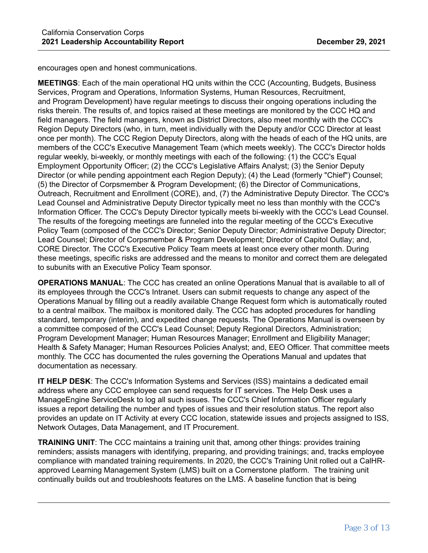encourages open and honest communications.

**MEETINGS**: Each of the main operational HQ units within the CCC (Accounting, Budgets, Business Services, Program and Operations, Information Systems, Human Resources, Recruitment, and Program Development) have regular meetings to discuss their ongoing operations including the risks therein. The results of, and topics raised at these meetings are monitored by the CCC HQ and field managers. The field managers, known as District Directors, also meet monthly with the CCC's Region Deputy Directors (who, in turn, meet individually with the Deputy and/or CCC Director at least once per month). The CCC Region Deputy Directors, along with the heads of each of the HQ units, are members of the CCC's Executive Management Team (which meets weekly). The CCC's Director holds regular weekly, bi-weekly, or monthly meetings with each of the following: (1) the CCC's Equal Employment Opportunity Officer; (2) the CCC's Legislative Affairs Analyst; (3) the Senior Deputy Director (or while pending appointment each Region Deputy); (4) the Lead (formerly "Chief") Counsel; (5) the Director of Corpsmember & Program Development; (6) the Director of Communications, Outreach, Recruitment and Enrollment (CORE), and, (7) the Administrative Deputy Director. The CCC's Lead Counsel and Administrative Deputy Director typically meet no less than monthly with the CCC's Information Officer. The CCC's Deputy Director typically meets bi-weekly with the CCC's Lead Counsel. The results of the foregoing meetings are funneled into the regular meeting of the CCC's Executive Policy Team (composed of the CCC's Director; Senior Deputy Director; Administrative Deputy Director; Lead Counsel; Director of Corpsmember & Program Development; Director of Capitol Outlay; and, CORE Director. The CCC's Executive Policy Team meets at least once every other month. During these meetings, specific risks are addressed and the means to monitor and correct them are delegated to subunits with an Executive Policy Team sponsor.

**OPERATIONS MANUAL**: The CCC has created an online Operations Manual that is available to all of its employees through the CCC's Intranet. Users can submit requests to change any aspect of the Operations Manual by filling out a readily available Change Request form which is automatically routed to a central mailbox. The mailbox is monitored daily. The CCC has adopted procedures for handling standard, temporary (interim), and expedited change requests. The Operations Manual is overseen by a committee composed of the CCC's Lead Counsel; Deputy Regional Directors, Administration; Program Development Manager; Human Resources Manager; Enrollment and Eligibility Manager; Health & Safety Manager; Human Resources Policies Analyst; and, EEO Officer. That committee meets monthly. The CCC has documented the rules governing the Operations Manual and updates that documentation as necessary.

**IT HELP DESK**: The CCC's Information Systems and Services (ISS) maintains a dedicated email address where any CCC employee can send requests for IT services. The Help Desk uses a ManageEngine ServiceDesk to log all such issues. The CCC's Chief Information Officer regularly issues a report detailing the number and types of issues and their resolution status. The report also provides an update on IT Activity at every CCC location, statewide issues and projects assigned to ISS, Network Outages, Data Management, and IT Procurement.

**TRAINING UNIT**: The CCC maintains a training unit that, among other things: provides training reminders; assists managers with identifying, preparing, and providing trainings; and, tracks employee compliance with mandated training requirements. In 2020, the CCC's Training Unit rolled out a CalHRapproved Learning Management System (LMS) built on a Cornerstone platform. The training unit continually builds out and troubleshoots features on the LMS. A baseline function that is being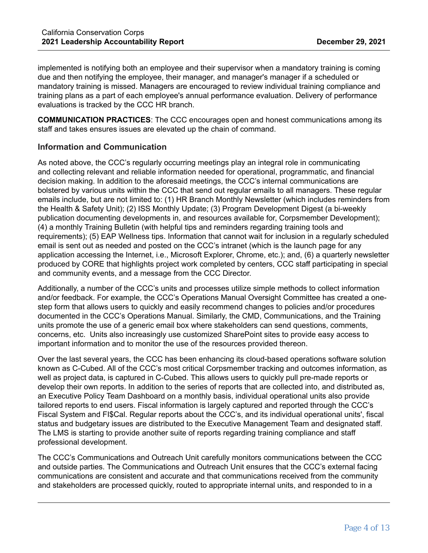implemented is notifying both an employee and their supervisor when a mandatory training is coming due and then notifying the employee, their manager, and manager's manager if a scheduled or mandatory training is missed. Managers are encouraged to review individual training compliance and training plans as a part of each employee's annual performance evaluation. Delivery of performance evaluations is tracked by the CCC HR branch.

**COMMUNICATION PRACTICES**: The CCC encourages open and honest communications among its staff and takes ensures issues are elevated up the chain of command.

## **Information and Communication**

As noted above, the CCC's regularly occurring meetings play an integral role in communicating and collecting relevant and reliable information needed for operational, programmatic, and financial decision making. In addition to the aforesaid meetings, the CCC's internal communications are bolstered by various units within the CCC that send out regular emails to all managers. These regular emails include, but are not limited to: (1) HR Branch Monthly Newsletter (which includes reminders from the Health & Safety Unit); (2) ISS Monthly Update; (3) Program Development Digest (a bi-weekly publication documenting developments in, and resources available for, Corpsmember Development); (4) a monthly Training Bulletin (with helpful tips and reminders regarding training tools and requirements); (5) EAP Wellness tips. Information that cannot wait for inclusion in a regularly scheduled email is sent out as needed and posted on the CCC's intranet (which is the launch page for any application accessing the Internet, i.e., Microsoft Explorer, Chrome, etc.); and, (6) a quarterly newsletter produced by CORE that highlights project work completed by centers, CCC staff participating in special and community events, and a message from the CCC Director.

Additionally, a number of the CCC's units and processes utilize simple methods to collect information and/or feedback. For example, the CCC's Operations Manual Oversight Committee has created a onestep form that allows users to quickly and easily recommend changes to policies and/or procedures documented in the CCC's Operations Manual. Similarly, the CMD, Communications, and the Training units promote the use of a generic email box where stakeholders can send questions, comments, concerns, etc. Units also increasingly use customized SharePoint sites to provide easy access to important information and to monitor the use of the resources provided thereon.

Over the last several years, the CCC has been enhancing its cloud-based operations software solution known as C-Cubed. All of the CCC's most critical Corpsmember tracking and outcomes information, as well as project data, is captured in C-Cubed. This allows users to quickly pull pre-made reports or develop their own reports. In addition to the series of reports that are collected into, and distributed as, an Executive Policy Team Dashboard on a monthly basis, individual operational units also provide tailored reports to end users. Fiscal information is largely captured and reported through the CCC's Fiscal System and FI\$Cal. Regular reports about the CCC's, and its individual operational units', fiscal status and budgetary issues are distributed to the Executive Management Team and designated staff. The LMS is starting to provide another suite of reports regarding training compliance and staff professional development.

The CCC's Communications and Outreach Unit carefully monitors communications between the CCC and outside parties. The Communications and Outreach Unit ensures that the CCC's external facing communications are consistent and accurate and that communications received from the community and stakeholders are processed quickly, routed to appropriate internal units, and responded to in a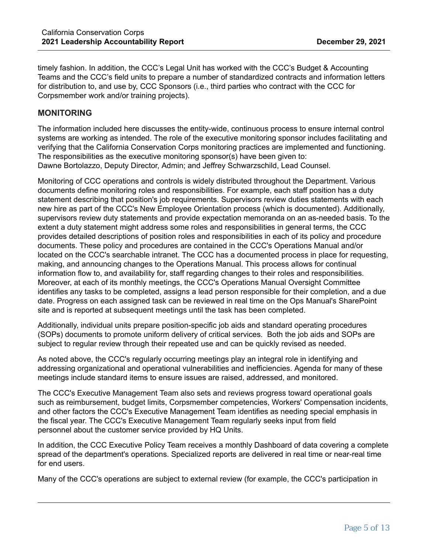timely fashion. In addition, the CCC's Legal Unit has worked with the CCC's Budget & Accounting Teams and the CCC's field units to prepare a number of standardized contracts and information letters for distribution to, and use by, CCC Sponsors (i.e., third parties who contract with the CCC for Corpsmember work and/or training projects).

## **MONITORING**

The information included here discusses the entity-wide, continuous process to ensure internal control systems are working as intended. The role of the executive monitoring sponsor includes facilitating and verifying that the California Conservation Corps monitoring practices are implemented and functioning. The responsibilities as the executive monitoring sponsor(s) have been given to: Dawne Bortolazzo, Deputy Director, Admin; and Jeffrey Schwarzschild, Lead Counsel.

Monitoring of CCC operations and controls is widely distributed throughout the Department. Various documents define monitoring roles and responsibilities. For example, each staff position has a duty statement describing that position's job requirements. Supervisors review duties statements with each new hire as part of the CCC's New Employee Orientation process (which is documented). Additionally, supervisors review duty statements and provide expectation memoranda on an as-needed basis. To the extent a duty statement might address some roles and responsibilities in general terms, the CCC provides detailed descriptions of position roles and responsibilities in each of its policy and procedure documents. These policy and procedures are contained in the CCC's Operations Manual and/or located on the CCC's searchable intranet. The CCC has a documented process in place for requesting, making, and announcing changes to the Operations Manual. This process allows for continual information flow to, and availability for, staff regarding changes to their roles and responsibilities. Moreover, at each of its monthly meetings, the CCC's Operations Manual Oversight Committee identifies any tasks to be completed, assigns a lead person responsible for their completion, and a due date. Progress on each assigned task can be reviewed in real time on the Ops Manual's SharePoint site and is reported at subsequent meetings until the task has been completed.

Additionally, individual units prepare position-specific job aids and standard operating procedures (SOPs) documents to promote uniform delivery of critical services. Both the job aids and SOPs are subject to regular review through their repeated use and can be quickly revised as needed.

As noted above, the CCC's regularly occurring meetings play an integral role in identifying and addressing organizational and operational vulnerabilities and inefficiencies. Agenda for many of these meetings include standard items to ensure issues are raised, addressed, and monitored.

The CCC's Executive Management Team also sets and reviews progress toward operational goals such as reimbursement, budget limits, Corpsmember competencies, Workers' Compensation incidents, and other factors the CCC's Executive Management Team identifies as needing special emphasis in the fiscal year. The CCC's Executive Management Team regularly seeks input from field personnel about the customer service provided by HQ Units.

In addition, the CCC Executive Policy Team receives a monthly Dashboard of data covering a complete spread of the department's operations. Specialized reports are delivered in real time or near-real time for end users.

Many of the CCC's operations are subject to external review (for example, the CCC's participation in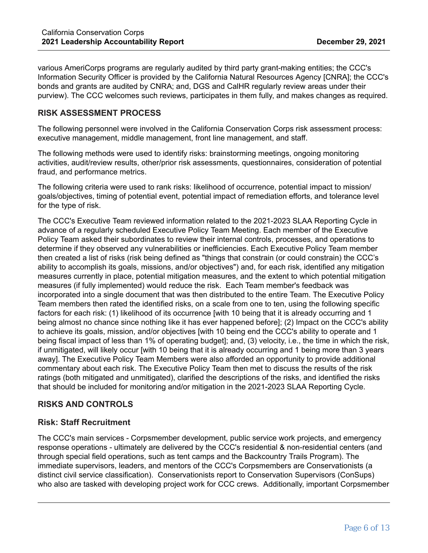various AmeriCorps programs are regularly audited by third party grant-making entities; the CCC's Information Security Officer is provided by the California Natural Resources Agency [CNRA]; the CCC's bonds and grants are audited by CNRA; and, DGS and CalHR regularly review areas under their purview). The CCC welcomes such reviews, participates in them fully, and makes changes as required.

## **RISK ASSESSMENT PROCESS**

The following personnel were involved in the California Conservation Corps risk assessment process: executive management, middle management, front line management, and staff.

The following methods were used to identify risks: brainstorming meetings, ongoing monitoring activities, audit/review results, other/prior risk assessments, questionnaires, consideration of potential fraud, and performance metrics.

The following criteria were used to rank risks: likelihood of occurrence, potential impact to mission/ goals/objectives, timing of potential event, potential impact of remediation efforts, and tolerance level for the type of risk.

The CCC's Executive Team reviewed information related to the 2021-2023 SLAA Reporting Cycle in advance of a regularly scheduled Executive Policy Team Meeting. Each member of the Executive Policy Team asked their subordinates to review their internal controls, processes, and operations to determine if they observed any vulnerabilities or inefficiencies. Each Executive Policy Team member then created a list of risks (risk being defined as "things that constrain (or could constrain) the CCC's ability to accomplish its goals, missions, and/or objectives") and, for each risk, identified any mitigation measures currently in place, potential mitigation measures, and the extent to which potential mitigation measures (if fully implemented) would reduce the risk. Each Team member's feedback was incorporated into a single document that was then distributed to the entire Team. The Executive Policy Team members then rated the identified risks, on a scale from one to ten, using the following specific factors for each risk: (1) likelihood of its occurrence [with 10 being that it is already occurring and 1 being almost no chance since nothing like it has ever happened before]; (2) Impact on the CCC's ability to achieve its goals, mission, and/or objectives [with 10 being end the CCC's ability to operate and 1 being fiscal impact of less than 1% of operating budget]; and, (3) velocity, i.e., the time in which the risk, if unmitigated, will likely occur [with 10 being that it is already occurring and 1 being more than 3 years away]. The Executive Policy Team Members were also afforded an opportunity to provide additional commentary about each risk. The Executive Policy Team then met to discuss the results of the risk ratings (both mitigated and unmitigated), clarified the descriptions of the risks, and identified the risks that should be included for monitoring and/or mitigation in the 2021-2023 SLAA Reporting Cycle.

# **RISKS AND CONTROLS**

## **Risk: Staff Recruitment**

The CCC's main services - Corpsmember development, public service work projects, and emergency response operations - ultimately are delivered by the CCC's residential & non-residential centers (and through special field operations, such as tent camps and the Backcountry Trails Program). The immediate supervisors, leaders, and mentors of the CCC's Corpsmembers are Conservationists (a distinct civil service classification). Conservationists report to Conservation Supervisors (ConSups) who also are tasked with developing project work for CCC crews. Additionally, important Corpsmember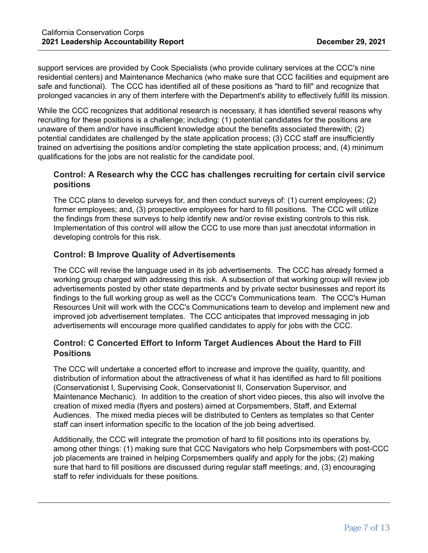support services are provided by Cook Specialists (who provide culinary services at the CCC's nine residential centers) and Maintenance Mechanics (who make sure that CCC facilities and equipment are safe and functional). The CCC has identified all of these positions as "hard to fill" and recognize that prolonged vacancies in any of them interfere with the Department's ability to effectively fulfill its mission.

While the CCC recognizes that additional research is necessary, it has identified several reasons why recruiting for these positions is a challenge; including: (1) potential candidates for the positions are unaware of them and/or have insufficient knowledge about the benefits associated therewith; (2) potential candidates are challenged by the state application process; (3) CCC staff are insufficiently trained on advertising the positions and/or completing the state application process; and, (4) minimum qualifications for the jobs are not realistic for the candidate pool.

# **Control: A Research why the CCC has challenges recruiting for certain civil service positions**

The CCC plans to develop surveys for, and then conduct surveys of: (1) current employees; (2) former employees; and, (3) prospective employees for hard to fill positions. The CCC will utilize the findings from these surveys to help identify new and/or revise existing controls to this risk. Implementation of this control will allow the CCC to use more than just anecdotal information in developing controls for this risk.

# **Control: B Improve Quality of Advertisements**

The CCC will revise the language used in its job advertisements. The CCC has already formed a working group charged with addressing this risk. A subsection of that working group will review job advertisements posted by other state departments and by private sector businesses and report its findings to the full working group as well as the CCC's Communications team. The CCC's Human Resources Unit will work with the CCC's Communications team to develop and implement new and improved job advertisement templates. The CCC anticipates that improved messaging in job advertisements will encourage more qualified candidates to apply for jobs with the CCC.

# **Control: C Concerted Effort to Inform Target Audiences About the Hard to Fill Positions**

The CCC will undertake a concerted effort to increase and improve the quality, quantity, and distribution of information about the attractiveness of what it has identified as hard to fill positions (Conservationist I, Supervising Cook, Conservationist II, Conservation Supervisor, and Maintenance Mechanic). In addition to the creation of short video pieces, this also will involve the creation of mixed media (flyers and posters) aimed at Corpsmembers, Staff, and External Audiences. The mixed media pieces will be distributed to Centers as templates so that Center staff can insert information specific to the location of the job being advertised.

Additionally, the CCC will integrate the promotion of hard to fill positions into its operations by, among other things: (1) making sure that CCC Navigators who help Corpsmembers with post-CCC job placements are trained in helping Corpsmembers qualify and apply for the jobs; (2) making sure that hard to fill positions are discussed during regular staff meetings; and, (3) encouraging staff to refer individuals for these positions.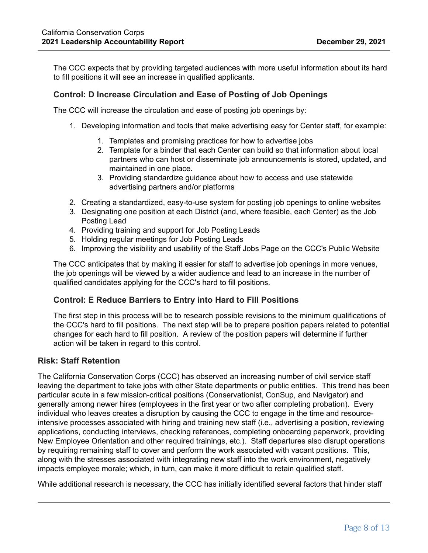The CCC expects that by providing targeted audiences with more useful information about its hard to fill positions it will see an increase in qualified applicants.

## **Control: D Increase Circulation and Ease of Posting of Job Openings**

The CCC will increase the circulation and ease of posting job openings by:

- 1. Developing information and tools that make advertising easy for Center staff, for example:
	- 1. Templates and promising practices for how to advertise jobs
	- 2. Template for a binder that each Center can build so that information about local partners who can host or disseminate job announcements is stored, updated, and maintained in one place.
	- 3. Providing standardize guidance about how to access and use statewide advertising partners and/or platforms
- 2. Creating a standardized, easy-to-use system for posting job openings to online websites
- 3. Designating one position at each District (and, where feasible, each Center) as the Job Posting Lead
- 4. Providing training and support for Job Posting Leads
- 5. Holding regular meetings for Job Posting Leads
- 6. Improving the visibility and usability of the Staff Jobs Page on the CCC's Public Website

The CCC anticipates that by making it easier for staff to advertise job openings in more venues, the job openings will be viewed by a wider audience and lead to an increase in the number of qualified candidates applying for the CCC's hard to fill positions.

#### **Control: E Reduce Barriers to Entry into Hard to Fill Positions**

The first step in this process will be to research possible revisions to the minimum qualifications of the CCC's hard to fill positions. The next step will be to prepare position papers related to potential changes for each hard to fill position. A review of the position papers will determine if further action will be taken in regard to this control.

#### **Risk: Staff Retention**

The California Conservation Corps (CCC) has observed an increasing number of civil service staff leaving the department to take jobs with other State departments or public entities. This trend has been particular acute in a few mission-critical positions (Conservationist, ConSup, and Navigator) and generally among newer hires (employees in the first year or two after completing probation). Every individual who leaves creates a disruption by causing the CCC to engage in the time and resourceintensive processes associated with hiring and training new staff (i.e., advertising a position, reviewing applications, conducting interviews, checking references, completing onboarding paperwork, providing New Employee Orientation and other required trainings, etc.). Staff departures also disrupt operations by requiring remaining staff to cover and perform the work associated with vacant positions. This, along with the stresses associated with integrating new staff into the work environment, negatively impacts employee morale; which, in turn, can make it more difficult to retain qualified staff.

While additional research is necessary, the CCC has initially identified several factors that hinder staff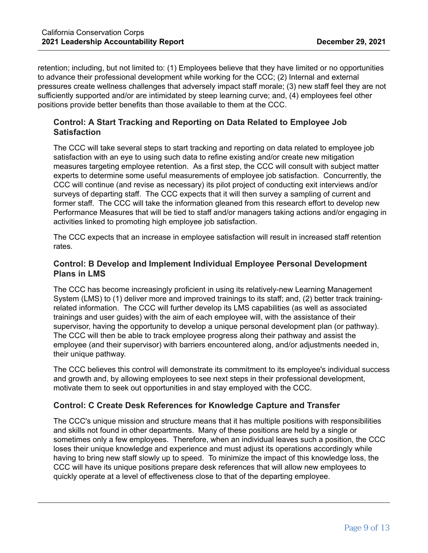retention; including, but not limited to: (1) Employees believe that they have limited or no opportunities to advance their professional development while working for the CCC; (2) Internal and external pressures create wellness challenges that adversely impact staff morale; (3) new staff feel they are not sufficiently supported and/or are intimidated by steep learning curve; and, (4) employees feel other positions provide better benefits than those available to them at the CCC.

# **Control: A Start Tracking and Reporting on Data Related to Employee Job Satisfaction**

The CCC will take several steps to start tracking and reporting on data related to employee job satisfaction with an eye to using such data to refine existing and/or create new mitigation measures targeting employee retention. As a first step, the CCC will consult with subject matter experts to determine some useful measurements of employee job satisfaction. Concurrently, the CCC will continue (and revise as necessary) its pilot project of conducting exit interviews and/or surveys of departing staff. The CCC expects that it will then survey a sampling of current and former staff. The CCC will take the information gleaned from this research effort to develop new Performance Measures that will be tied to staff and/or managers taking actions and/or engaging in activities linked to promoting high employee job satisfaction.

The CCC expects that an increase in employee satisfaction will result in increased staff retention rates.

# **Control: B Develop and Implement Individual Employee Personal Development Plans in LMS**

The CCC has become increasingly proficient in using its relatively-new Learning Management System (LMS) to (1) deliver more and improved trainings to its staff; and, (2) better track trainingrelated information. The CCC will further develop its LMS capabilities (as well as associated trainings and user guides) with the aim of each employee will, with the assistance of their supervisor, having the opportunity to develop a unique personal development plan (or pathway). The CCC will then be able to track employee progress along their pathway and assist the employee (and their supervisor) with barriers encountered along, and/or adjustments needed in, their unique pathway.

The CCC believes this control will demonstrate its commitment to its employee's individual success and growth and, by allowing employees to see next steps in their professional development, motivate them to seek out opportunities in and stay employed with the CCC.

# **Control: C Create Desk References for Knowledge Capture and Transfer**

The CCC's unique mission and structure means that it has multiple positions with responsibilities and skills not found in other departments. Many of these positions are held by a single or sometimes only a few employees. Therefore, when an individual leaves such a position, the CCC loses their unique knowledge and experience and must adjust its operations accordingly while having to bring new staff slowly up to speed. To minimize the impact of this knowledge loss, the CCC will have its unique positions prepare desk references that will allow new employees to quickly operate at a level of effectiveness close to that of the departing employee.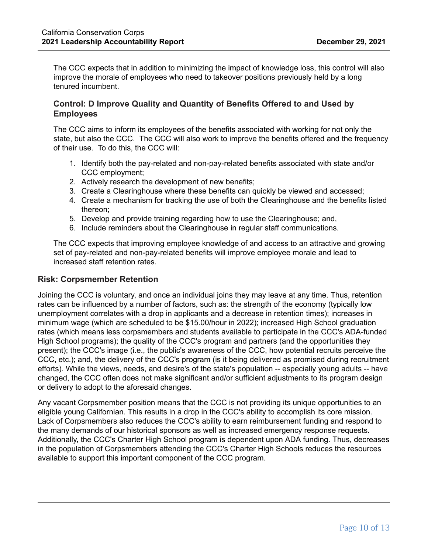The CCC expects that in addition to minimizing the impact of knowledge loss, this control will also improve the morale of employees who need to takeover positions previously held by a long tenured incumbent.

## **Control: D Improve Quality and Quantity of Benefits Offered to and Used by Employees**

The CCC aims to inform its employees of the benefits associated with working for not only the state, but also the CCC. The CCC will also work to improve the benefits offered and the frequency of their use. To do this, the CCC will:

- 1. Identify both the pay-related and non-pay-related benefits associated with state and/or CCC employment;
- 2. Actively research the development of new benefits;
- 3. Create a Clearinghouse where these benefits can quickly be viewed and accessed;
- 4. Create a mechanism for tracking the use of both the Clearinghouse and the benefits listed thereon;
- 5. Develop and provide training regarding how to use the Clearinghouse; and,
- 6. Include reminders about the Clearinghouse in regular staff communications.

The CCC expects that improving employee knowledge of and access to an attractive and growing set of pay-related and non-pay-related benefits will improve employee morale and lead to increased staff retention rates.

## **Risk: Corpsmember Retention**

Joining the CCC is voluntary, and once an individual joins they may leave at any time. Thus, retention rates can be influenced by a number of factors, such as: the strength of the economy (typically low unemployment correlates with a drop in applicants and a decrease in retention times); increases in minimum wage (which are scheduled to be \$15.00/hour in 2022); increased High School graduation rates (which means less corpsmembers and students available to participate in the CCC's ADA-funded High School programs); the quality of the CCC's program and partners (and the opportunities they present); the CCC's image (i.e., the public's awareness of the CCC, how potential recruits perceive the CCC, etc.); and, the delivery of the CCC's program (is it being delivered as promised during recruitment efforts). While the views, needs, and desire's of the state's population -- especially young adults -- have changed, the CCC often does not make significant and/or sufficient adjustments to its program design or delivery to adopt to the aforesaid changes.

Any vacant Corpsmember position means that the CCC is not providing its unique opportunities to an eligible young Californian. This results in a drop in the CCC's ability to accomplish its core mission. Lack of Corpsmembers also reduces the CCC's ability to earn reimbursement funding and respond to the many demands of our historical sponsors as well as increased emergency response requests. Additionally, the CCC's Charter High School program is dependent upon ADA funding. Thus, decreases in the population of Corpsmembers attending the CCC's Charter High Schools reduces the resources available to support this important component of the CCC program.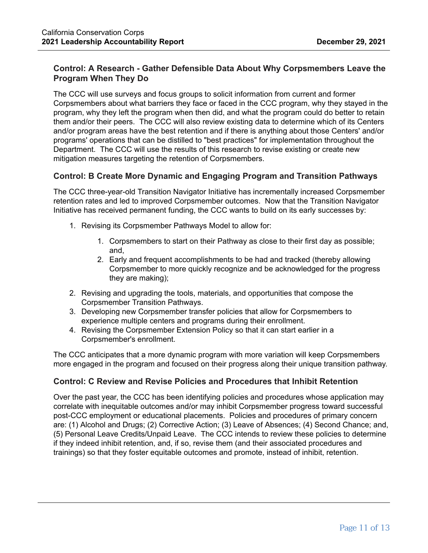# **Control: A Research - Gather Defensible Data About Why Corpsmembers Leave the Program When They Do**

The CCC will use surveys and focus groups to solicit information from current and former Corpsmembers about what barriers they face or faced in the CCC program, why they stayed in the program, why they left the program when then did, and what the program could do better to retain them and/or their peers. The CCC will also review existing data to determine which of its Centers and/or program areas have the best retention and if there is anything about those Centers' and/or programs' operations that can be distilled to "best practices" for implementation throughout the Department. The CCC will use the results of this research to revise existing or create new mitigation measures targeting the retention of Corpsmembers.

## **Control: B Create More Dynamic and Engaging Program and Transition Pathways**

The CCC three-year-old Transition Navigator Initiative has incrementally increased Corpsmember retention rates and led to improved Corpsmember outcomes. Now that the Transition Navigator Initiative has received permanent funding, the CCC wants to build on its early successes by:

- 1. Revising its Corpsmember Pathways Model to allow for:
	- 1. Corpsmembers to start on their Pathway as close to their first day as possible; and,
	- 2. Early and frequent accomplishments to be had and tracked (thereby allowing Corpsmember to more quickly recognize and be acknowledged for the progress they are making);
- 2. Revising and upgrading the tools, materials, and opportunities that compose the Corpsmember Transition Pathways.
- 3. Developing new Corpsmember transfer policies that allow for Corpsmembers to experience multiple centers and programs during their enrollment.
- 4. Revising the Corpsmember Extension Policy so that it can start earlier in a Corpsmember's enrollment.

The CCC anticipates that a more dynamic program with more variation will keep Corpsmembers more engaged in the program and focused on their progress along their unique transition pathway.

## **Control: C Review and Revise Policies and Procedures that Inhibit Retention**

Over the past year, the CCC has been identifying policies and procedures whose application may correlate with inequitable outcomes and/or may inhibit Corpsmember progress toward successful post-CCC employment or educational placements. Policies and procedures of primary concern are: (1) Alcohol and Drugs; (2) Corrective Action; (3) Leave of Absences; (4) Second Chance; and, (5) Personal Leave Credits/Unpaid Leave. The CCC intends to review these policies to determine if they indeed inhibit retention, and, if so, revise them (and their associated procedures and trainings) so that they foster equitable outcomes and promote, instead of inhibit, retention.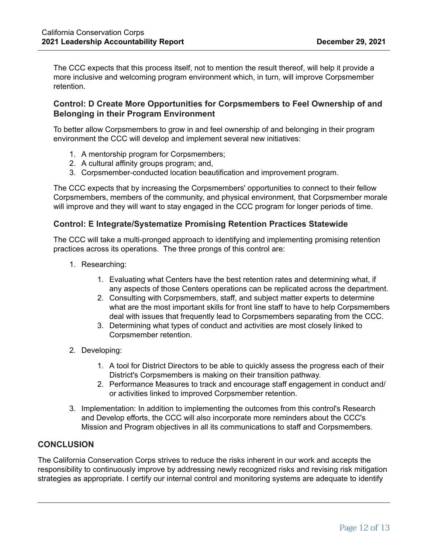The CCC expects that this process itself, not to mention the result thereof, will help it provide a more inclusive and welcoming program environment which, in turn, will improve Corpsmember retention.

## **Control: D Create More Opportunities for Corpsmembers to Feel Ownership of and Belonging in their Program Environment**

To better allow Corpsmembers to grow in and feel ownership of and belonging in their program environment the CCC will develop and implement several new initiatives:

- 1. A mentorship program for Corpsmembers;
- 2. A cultural affinity groups program; and,
- 3. Corpsmember-conducted location beautification and improvement program.

The CCC expects that by increasing the Corpsmembers' opportunities to connect to their fellow Corpsmembers, members of the community, and physical environment, that Corpsmember morale will improve and they will want to stay engaged in the CCC program for longer periods of time.

## **Control: E Integrate/Systematize Promising Retention Practices Statewide**

The CCC will take a multi-pronged approach to identifying and implementing promising retention practices across its operations. The three prongs of this control are:

- 1. Researching:
	- 1. Evaluating what Centers have the best retention rates and determining what, if any aspects of those Centers operations can be replicated across the department.
	- 2. Consulting with Corpsmembers, staff, and subject matter experts to determine what are the most important skills for front line staff to have to help Corpsmembers deal with issues that frequently lead to Corpsmembers separating from the CCC.
	- 3. Determining what types of conduct and activities are most closely linked to Corpsmember retention.
- 2. Developing:
	- 1. A tool for District Directors to be able to quickly assess the progress each of their District's Corpsmembers is making on their transition pathway.
	- 2. Performance Measures to track and encourage staff engagement in conduct and/ or activities linked to improved Corpsmember retention.
- 3. Implementation: In addition to implementing the outcomes from this control's Research and Develop efforts, the CCC will also incorporate more reminders about the CCC's Mission and Program objectives in all its communications to staff and Corpsmembers.

## **CONCLUSION**

The California Conservation Corps strives to reduce the risks inherent in our work and accepts the responsibility to continuously improve by addressing newly recognized risks and revising risk mitigation strategies as appropriate. I certify our internal control and monitoring systems are adequate to identify